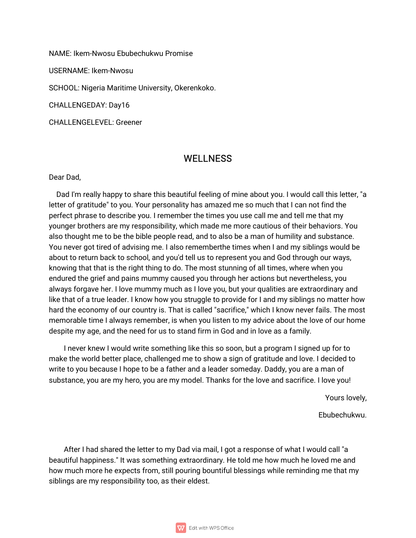NAME: Ikem-Nwosu Ebubechukwu Promise

USERNAME: Ikem-Nwosu

SCHOOL: Nigeria Maritime University, Okerenkoko.

CHALLENGEDAY: Day16

CHALLENGELEVEL:Greener

## **WELLNESS**

Dear Dad.

Dad I'm really happy to share this beautiful feeling of mine about you. I would call this letter, "a letter of gratitude" to you. Your personality has amazed me so much that I can not find the perfect phrase to describe you. I remember the times you use call me and tell me that my younger brothers are my responsibility, which made me more cautious of their behaviors. You also thought me to be the bible people read, and to also be a man of humility and substance. You never got tired of advising me. I also rememberthe times when I and my siblings would be about to return back to school, and you'd tell us to represent you and God through our ways, knowing that that is the right thing to do. The most stunning of all times, where when you endured the grief and pains mummy caused you through her actions but nevertheless, you always forgave her. I love mummy much as I love you, but your qualities are extraordinary and like that of a true leader. I know how you struggle to provide for I and my siblings no matter how hard the economy of our country is. That is called "sacrifice," which I know never fails. The most memorable time I always remember, is when you listen to my advice about the love of our home despite my age, and the need for us to stand firm in God and in love as a family.

I never knew I would write something like this so soon, but a program I signed up for to make the world better place, challenged me to show a sign of gratitude and love. I decided to write to you because I hope to be a father and a leader someday. Daddy, you are a man of substance, you are my hero, you are my model. Thanks for the love and sacrifice. I love you!

Yours lovely,

Ebubechukwu.

After I had shared the letter to my Dad via mail, I got a response of what I would call "a beautiful happiness." It was something extraordinary. He told me how much he loved me and how much more he expects from, still pouring bountiful blessings while reminding me that my siblings are my responsibility too, as their eldest.